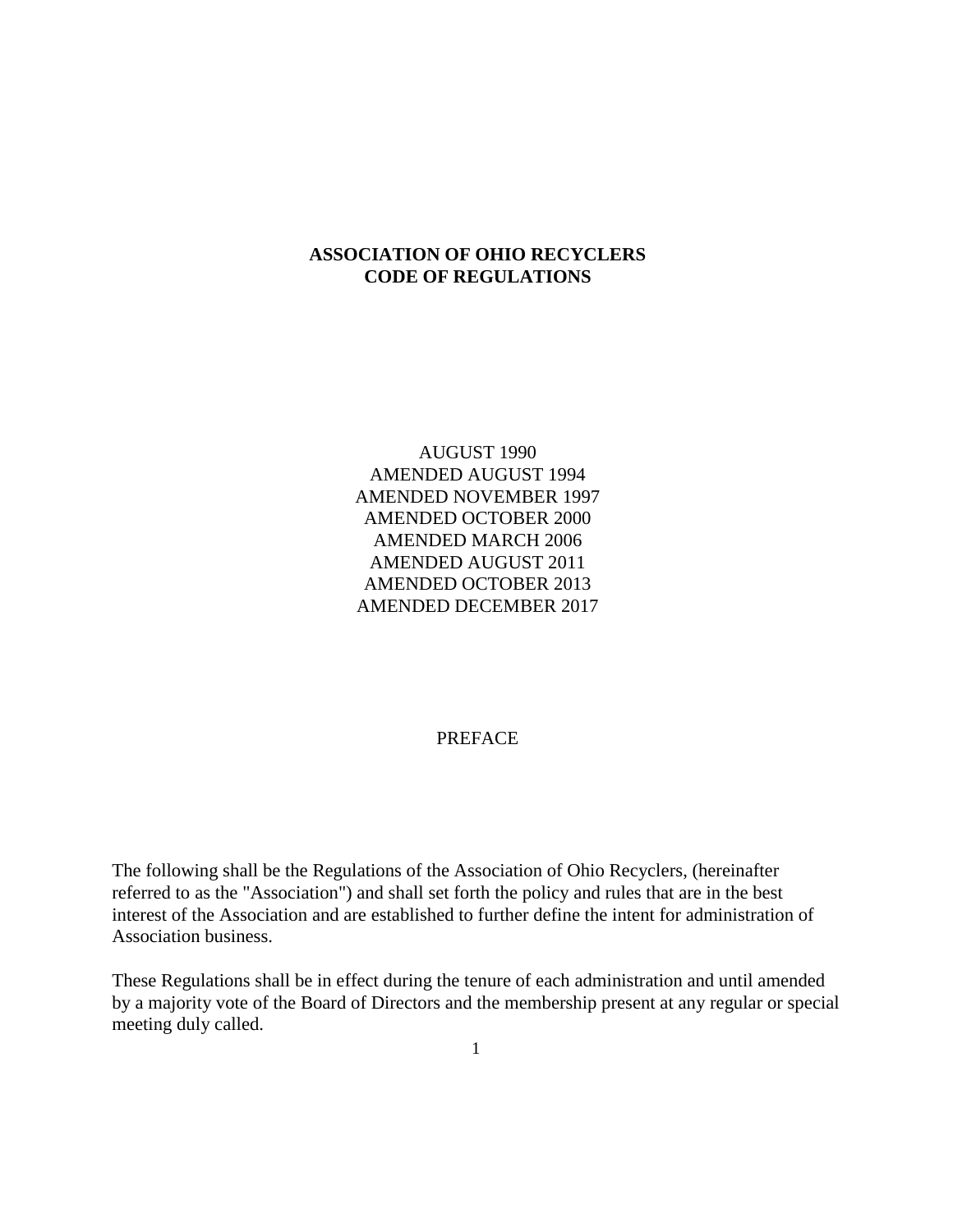## **ASSOCIATION OF OHIO RECYCLERS CODE OF REGULATIONS**

AUGUST 1990 AMENDED AUGUST 1994 AMENDED NOVEMBER 1997 AMENDED OCTOBER 2000 AMENDED MARCH 2006 AMENDED AUGUST 2011 AMENDED OCTOBER 2013 AMENDED DECEMBER 2017

### PREFACE

The following shall be the Regulations of the Association of Ohio Recyclers, (hereinafter referred to as the "Association") and shall set forth the policy and rules that are in the best interest of the Association and are established to further define the intent for administration of Association business.

These Regulations shall be in effect during the tenure of each administration and until amended by a majority vote of the Board of Directors and the membership present at any regular or special meeting duly called.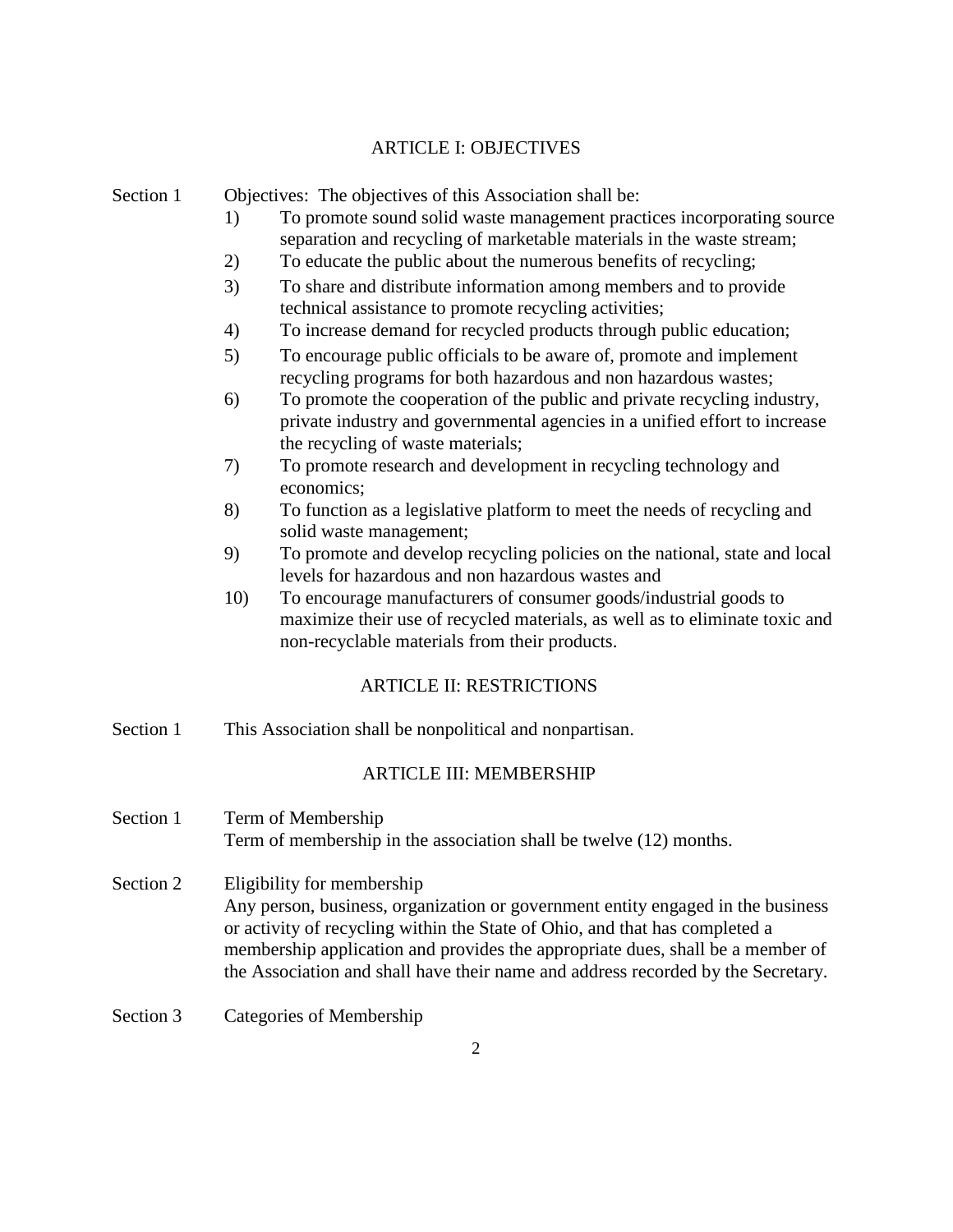# ARTICLE I: OBJECTIVES

| Section 1 | Objectives: The objectives of this Association shall be:<br>To promote sound solid waste management practices incorporating source<br>1)                                                                                                                                                                                                                           |
|-----------|--------------------------------------------------------------------------------------------------------------------------------------------------------------------------------------------------------------------------------------------------------------------------------------------------------------------------------------------------------------------|
|           | separation and recycling of marketable materials in the waste stream;                                                                                                                                                                                                                                                                                              |
|           | 2)<br>To educate the public about the numerous benefits of recycling;                                                                                                                                                                                                                                                                                              |
|           | 3)<br>To share and distribute information among members and to provide<br>technical assistance to promote recycling activities;                                                                                                                                                                                                                                    |
|           | To increase demand for recycled products through public education;<br>4)                                                                                                                                                                                                                                                                                           |
|           | To encourage public officials to be aware of, promote and implement<br>5)<br>recycling programs for both hazardous and non hazardous wastes;                                                                                                                                                                                                                       |
|           | To promote the cooperation of the public and private recycling industry,<br>6)<br>private industry and governmental agencies in a unified effort to increase<br>the recycling of waste materials;                                                                                                                                                                  |
|           | To promote research and development in recycling technology and<br>7)<br>economics;                                                                                                                                                                                                                                                                                |
|           | 8)<br>To function as a legislative platform to meet the needs of recycling and<br>solid waste management;                                                                                                                                                                                                                                                          |
|           | To promote and develop recycling policies on the national, state and local<br>9)<br>levels for hazardous and non hazardous wastes and                                                                                                                                                                                                                              |
|           | 10)<br>To encourage manufacturers of consumer goods/industrial goods to<br>maximize their use of recycled materials, as well as to eliminate toxic and<br>non-recyclable materials from their products.                                                                                                                                                            |
|           | <b>ARTICLE II: RESTRICTIONS</b>                                                                                                                                                                                                                                                                                                                                    |
| Section 1 | This Association shall be nonpolitical and nonpartisan.                                                                                                                                                                                                                                                                                                            |
|           | <b>ARTICLE III: MEMBERSHIP</b>                                                                                                                                                                                                                                                                                                                                     |
| Section 1 | Term of Membership<br>Term of membership in the association shall be twelve (12) months.                                                                                                                                                                                                                                                                           |
| Section 2 | Eligibility for membership<br>Any person, business, organization or government entity engaged in the business<br>or activity of recycling within the State of Ohio, and that has completed a<br>membership application and provides the appropriate dues, shall be a member of<br>the Association and shall have their name and address recorded by the Secretary. |
| Section 3 | Categories of Membership                                                                                                                                                                                                                                                                                                                                           |
|           | $\overline{c}$                                                                                                                                                                                                                                                                                                                                                     |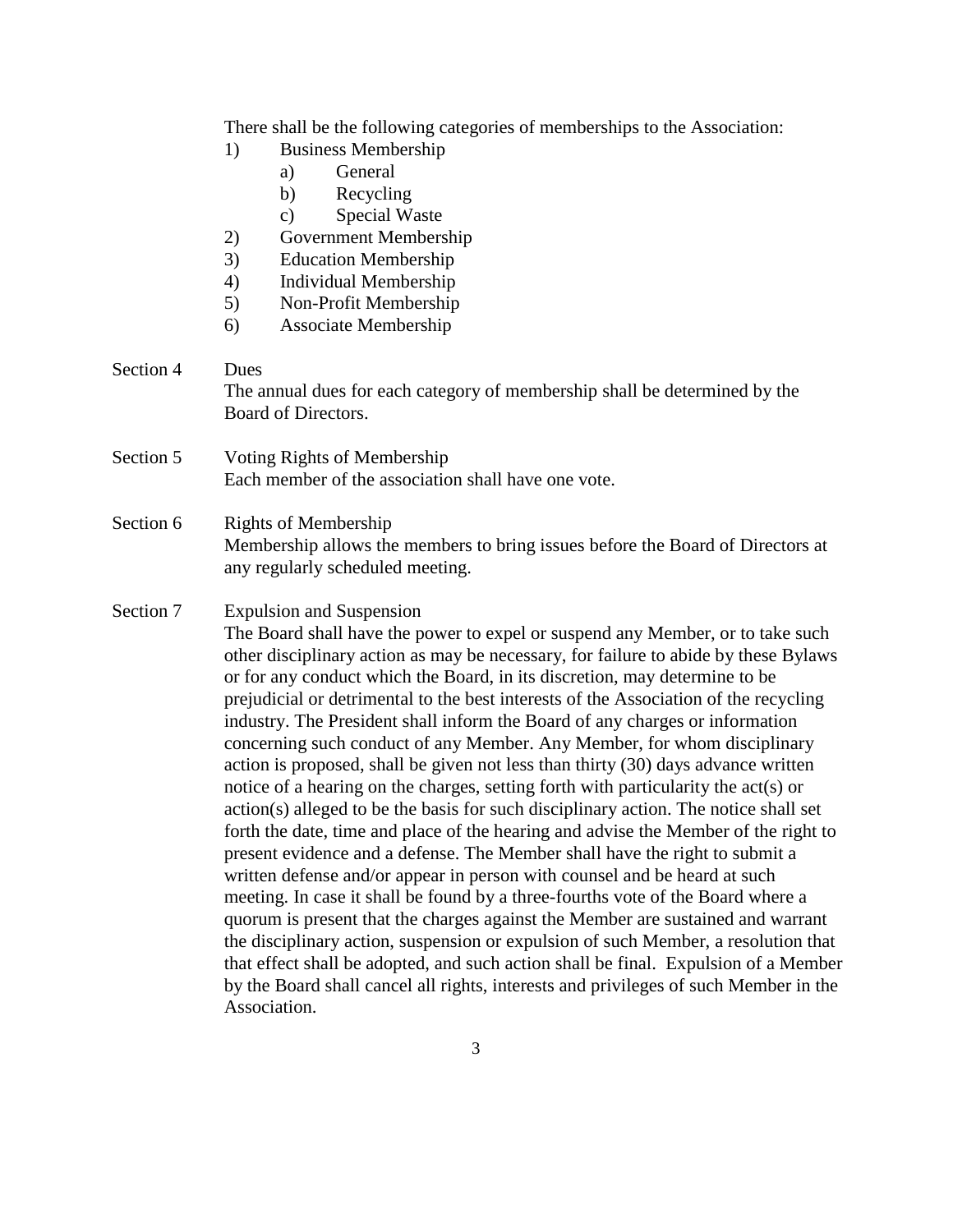|           | There shall be the following categories of memberships to the Association:<br><b>Business Membership</b><br>1)<br>General<br>a)<br>Recycling<br>b)<br>Special Waste<br>$\mathbf{c})$<br>2)<br>Government Membership<br>3)<br><b>Education Membership</b><br>4)<br>Individual Membership<br>Non-Profit Membership<br>5)<br>Associate Membership<br>6)                                                                                                                                                                                                                                                                                                                                                                                                                                                                                                                                                                                                                                                                                                                                                                                                                                                                                                                                                                                                                                                                                                                                                                        |
|-----------|-----------------------------------------------------------------------------------------------------------------------------------------------------------------------------------------------------------------------------------------------------------------------------------------------------------------------------------------------------------------------------------------------------------------------------------------------------------------------------------------------------------------------------------------------------------------------------------------------------------------------------------------------------------------------------------------------------------------------------------------------------------------------------------------------------------------------------------------------------------------------------------------------------------------------------------------------------------------------------------------------------------------------------------------------------------------------------------------------------------------------------------------------------------------------------------------------------------------------------------------------------------------------------------------------------------------------------------------------------------------------------------------------------------------------------------------------------------------------------------------------------------------------------|
| Section 4 | Dues<br>The annual dues for each category of membership shall be determined by the<br>Board of Directors.                                                                                                                                                                                                                                                                                                                                                                                                                                                                                                                                                                                                                                                                                                                                                                                                                                                                                                                                                                                                                                                                                                                                                                                                                                                                                                                                                                                                                   |
| Section 5 | Voting Rights of Membership<br>Each member of the association shall have one vote.                                                                                                                                                                                                                                                                                                                                                                                                                                                                                                                                                                                                                                                                                                                                                                                                                                                                                                                                                                                                                                                                                                                                                                                                                                                                                                                                                                                                                                          |
| Section 6 | <b>Rights of Membership</b><br>Membership allows the members to bring issues before the Board of Directors at<br>any regularly scheduled meeting.                                                                                                                                                                                                                                                                                                                                                                                                                                                                                                                                                                                                                                                                                                                                                                                                                                                                                                                                                                                                                                                                                                                                                                                                                                                                                                                                                                           |
| Section 7 | <b>Expulsion and Suspension</b><br>The Board shall have the power to expel or suspend any Member, or to take such<br>other disciplinary action as may be necessary, for failure to abide by these Bylaws<br>or for any conduct which the Board, in its discretion, may determine to be<br>prejudicial or detrimental to the best interests of the Association of the recycling<br>industry. The President shall inform the Board of any charges or information<br>concerning such conduct of any Member. Any Member, for whom disciplinary<br>action is proposed, shall be given not less than thirty (30) days advance written<br>notice of a hearing on the charges, setting forth with particularity the act(s) or<br>action(s) alleged to be the basis for such disciplinary action. The notice shall set<br>forth the date, time and place of the hearing and advise the Member of the right to<br>present evidence and a defense. The Member shall have the right to submit a<br>written defense and/or appear in person with counsel and be heard at such<br>meeting. In case it shall be found by a three-fourths vote of the Board where a<br>quorum is present that the charges against the Member are sustained and warrant<br>the disciplinary action, suspension or expulsion of such Member, a resolution that<br>that effect shall be adopted, and such action shall be final. Expulsion of a Member<br>by the Board shall cancel all rights, interests and privileges of such Member in the<br>Association. |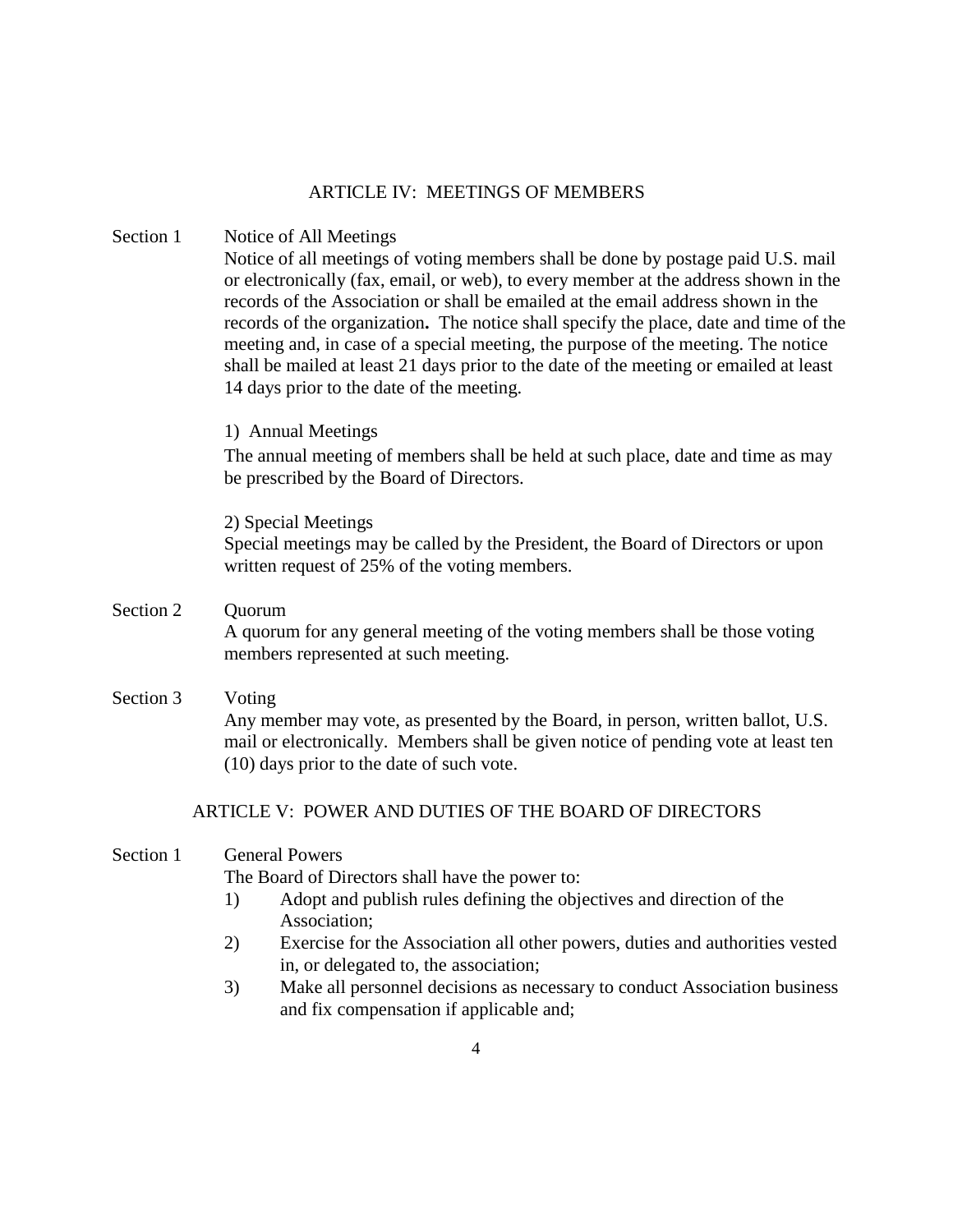### ARTICLE IV: MEETINGS OF MEMBERS

#### Section 1 Notice of All Meetings

Notice of all meetings of voting members shall be done by postage paid U.S. mail or electronically (fax, email, or web), to every member at the address shown in the records of the Association or shall be emailed at the email address shown in the records of the organization**.** The notice shall specify the place, date and time of the meeting and, in case of a special meeting, the purpose of the meeting. The notice shall be mailed at least 21 days prior to the date of the meeting or emailed at least 14 days prior to the date of the meeting.

#### 1) Annual Meetings

The annual meeting of members shall be held at such place, date and time as may be prescribed by the Board of Directors.

#### 2) Special Meetings

Special meetings may be called by the President, the Board of Directors or upon written request of 25% of the voting members.

# Section 2 Ouorum A quorum for any general meeting of the voting members shall be those voting

members represented at such meeting. Section 3 Voting

Any member may vote, as presented by the Board, in person, written ballot, U.S. mail or electronically. Members shall be given notice of pending vote at least ten (10) days prior to the date of such vote.

# ARTICLE V: POWER AND DUTIES OF THE BOARD OF DIRECTORS

## Section 1 General Powers

The Board of Directors shall have the power to:

- 1) Adopt and publish rules defining the objectives and direction of the Association;
- 2) Exercise for the Association all other powers, duties and authorities vested in, or delegated to, the association;
- 3) Make all personnel decisions as necessary to conduct Association business and fix compensation if applicable and;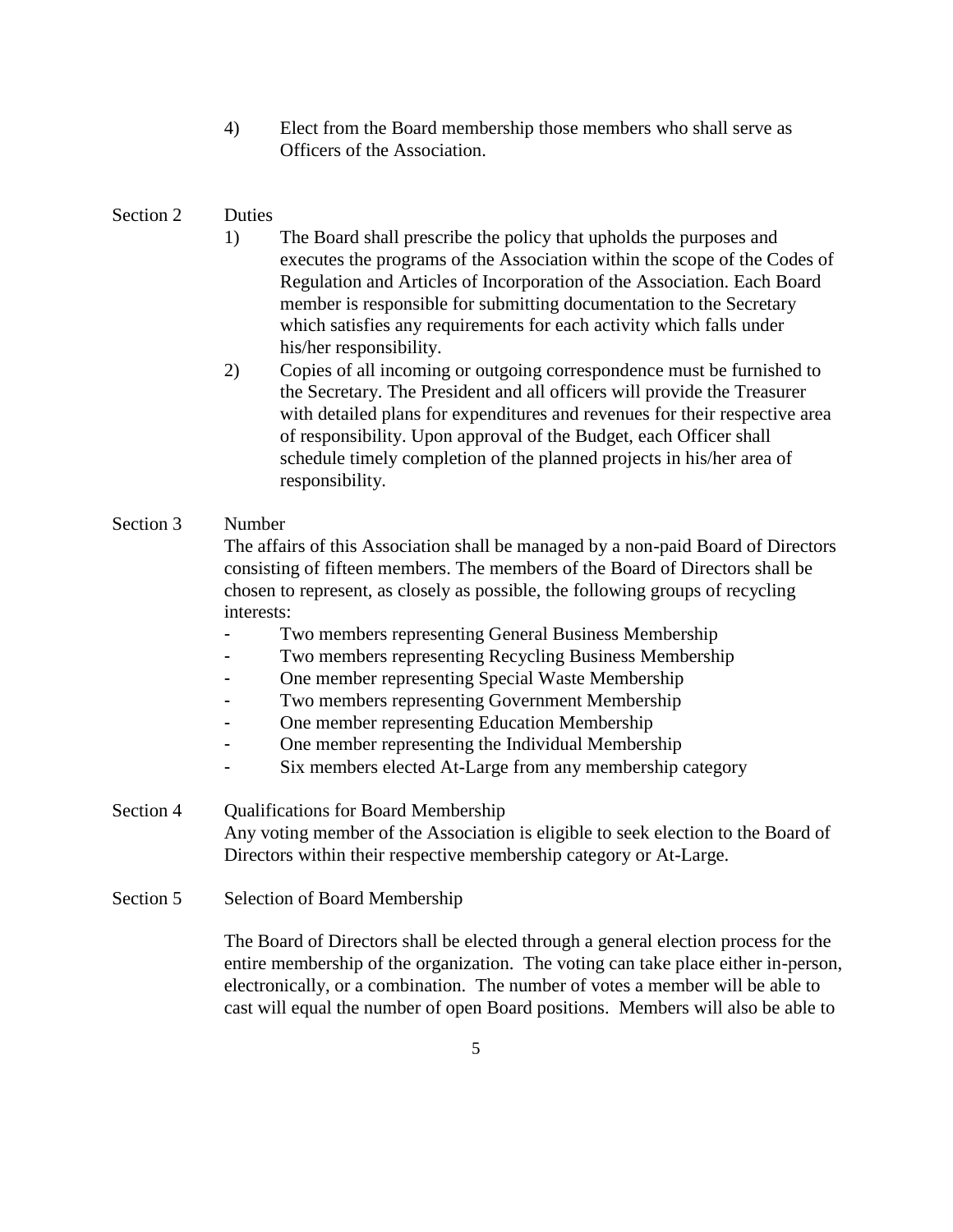4) Elect from the Board membership those members who shall serve as Officers of the Association.

## Section 2 Duties

- 1) The Board shall prescribe the policy that upholds the purposes and executes the programs of the Association within the scope of the Codes of Regulation and Articles of Incorporation of the Association. Each Board member is responsible for submitting documentation to the Secretary which satisfies any requirements for each activity which falls under his/her responsibility.
- 2) Copies of all incoming or outgoing correspondence must be furnished to the Secretary. The President and all officers will provide the Treasurer with detailed plans for expenditures and revenues for their respective area of responsibility. Upon approval of the Budget, each Officer shall schedule timely completion of the planned projects in his/her area of responsibility.

## Section 3 Number

The affairs of this Association shall be managed by a non-paid Board of Directors consisting of fifteen members. The members of the Board of Directors shall be chosen to represent, as closely as possible, the following groups of recycling interests:

- Two members representing General Business Membership
	- Two members representing Recycling Business Membership
- One member representing Special Waste Membership
- Two members representing Government Membership
- One member representing Education Membership
- One member representing the Individual Membership
- Six members elected At-Large from any membership category

Section 4 Qualifications for Board Membership Any voting member of the Association is eligible to seek election to the Board of Directors within their respective membership category or At-Large.

Section 5 Selection of Board Membership

The Board of Directors shall be elected through a general election process for the entire membership of the organization. The voting can take place either in-person, electronically, or a combination. The number of votes a member will be able to cast will equal the number of open Board positions. Members will also be able to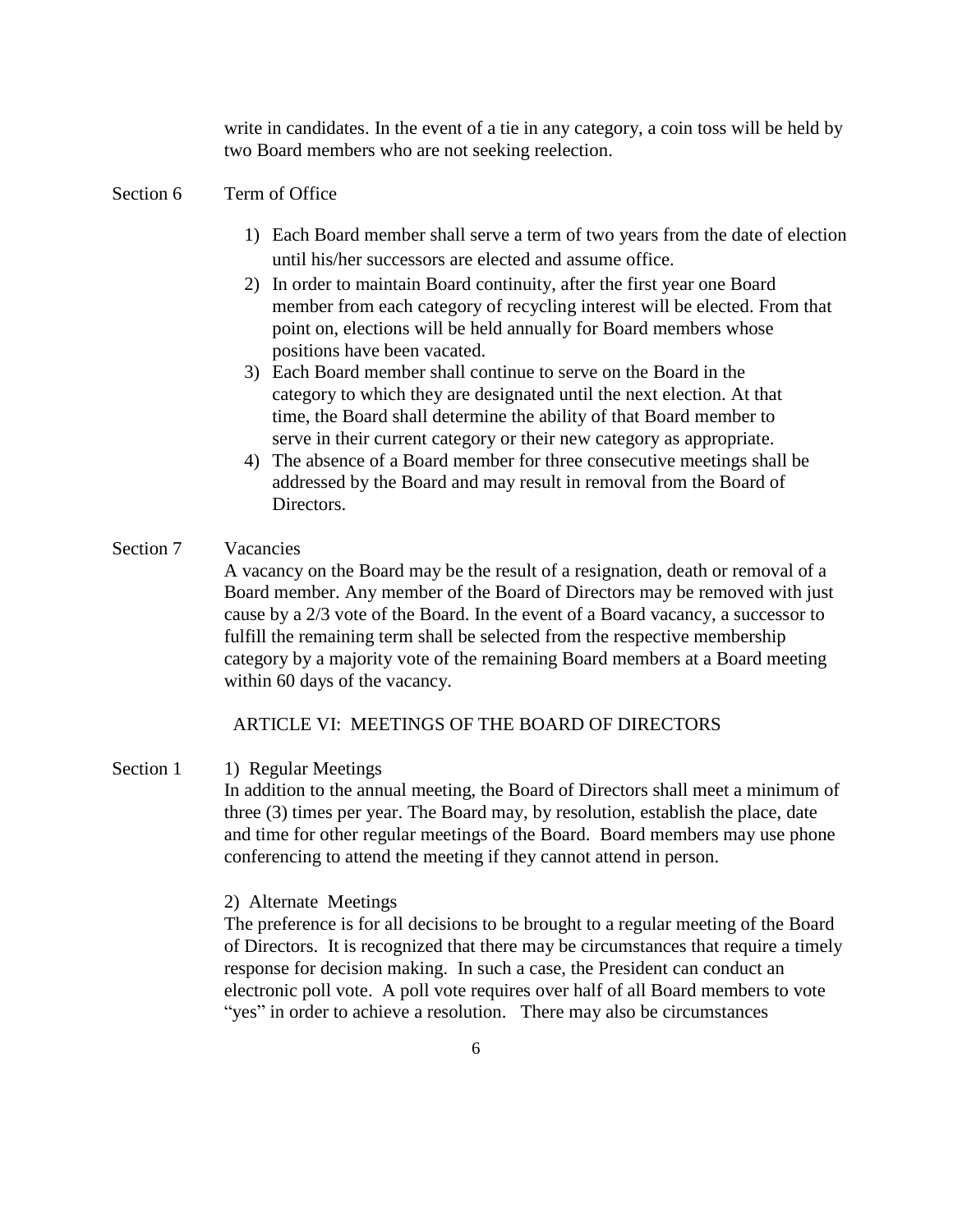write in candidates. In the event of a tie in any category, a coin toss will be held by two Board members who are not seeking reelection.

#### Section 6 Term of Office

- 1) Each Board member shall serve a term of two years from the date of election until his/her successors are elected and assume office.
- 2) In order to maintain Board continuity, after the first year one Board member from each category of recycling interest will be elected. From that point on, elections will be held annually for Board members whose positions have been vacated.
- 3) Each Board member shall continue to serve on the Board in the category to which they are designated until the next election. At that time, the Board shall determine the ability of that Board member to serve in their current category or their new category as appropriate.
- 4) The absence of a Board member for three consecutive meetings shall be addressed by the Board and may result in removal from the Board of Directors.

### Section 7 Vacancies

A vacancy on the Board may be the result of a resignation, death or removal of a Board member. Any member of the Board of Directors may be removed with just cause by a 2/3 vote of the Board. In the event of a Board vacancy, a successor to fulfill the remaining term shall be selected from the respective membership category by a majority vote of the remaining Board members at a Board meeting within 60 days of the vacancy.

#### ARTICLE VI: MEETINGS OF THE BOARD OF DIRECTORS

Section 1 1) Regular Meetings In addition to the annual meeting, the Board of Directors shall meet a minimum of three (3) times per year. The Board may, by resolution, establish the place, date and time for other regular meetings of the Board. Board members may use phone conferencing to attend the meeting if they cannot attend in person.

#### 2) Alternate Meetings

The preference is for all decisions to be brought to a regular meeting of the Board of Directors. It is recognized that there may be circumstances that require a timely response for decision making. In such a case, the President can conduct an electronic poll vote. A poll vote requires over half of all Board members to vote "yes" in order to achieve a resolution. There may also be circumstances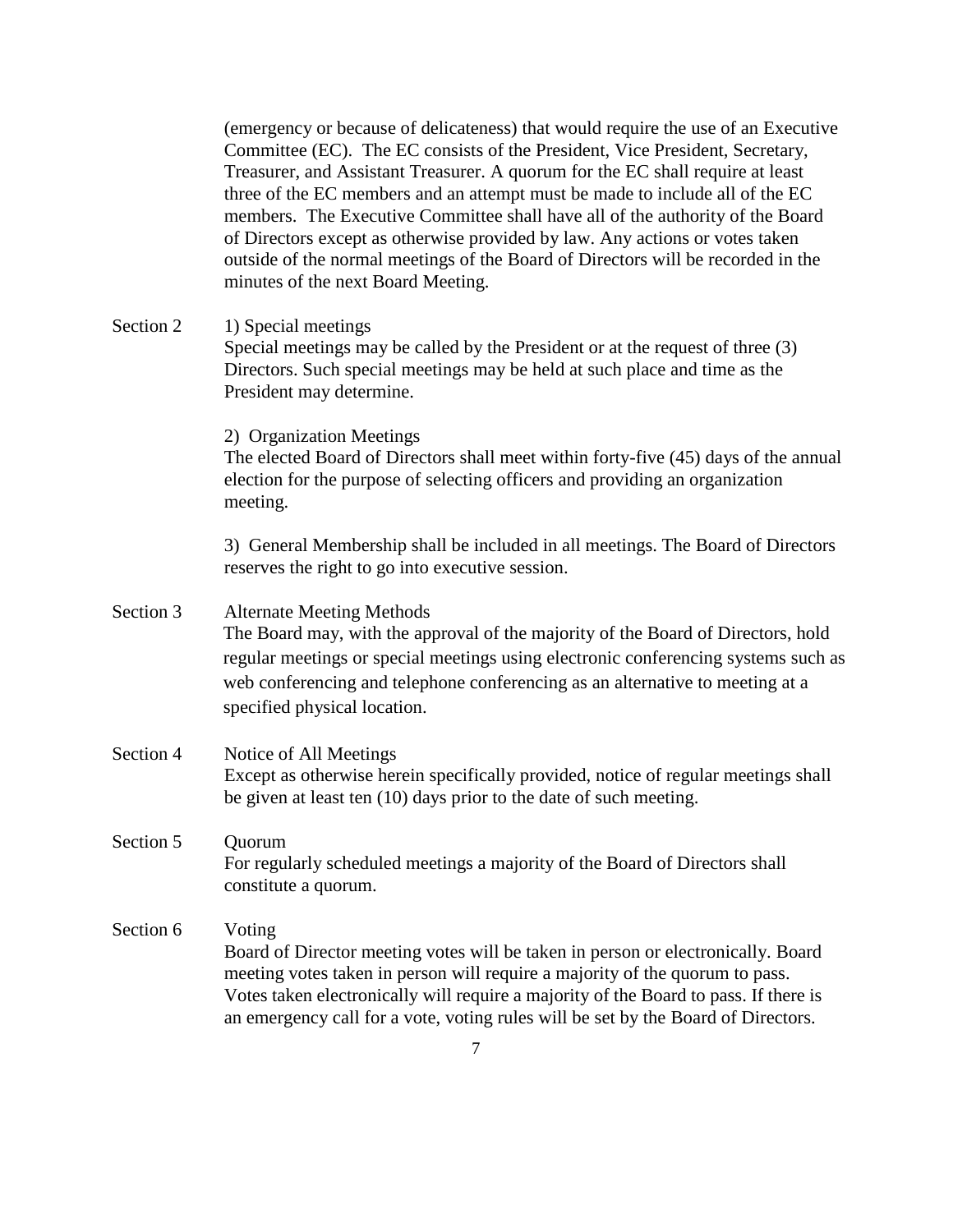(emergency or because of delicateness) that would require the use of an Executive Committee (EC). The EC consists of the President, Vice President, Secretary, Treasurer, and Assistant Treasurer. A quorum for the EC shall require at least three of the EC members and an attempt must be made to include all of the EC members. The Executive Committee shall have all of the authority of the Board of Directors except as otherwise provided by law. Any actions or votes taken outside of the normal meetings of the Board of Directors will be recorded in the minutes of the next Board Meeting.

Section 2 1) Special meetings Special meetings may be called by the President or at the request of three (3) Directors. Such special meetings may be held at such place and time as the President may determine.

2) Organization Meetings

The elected Board of Directors shall meet within forty-five (45) days of the annual election for the purpose of selecting officers and providing an organization meeting.

3) General Membership shall be included in all meetings. The Board of Directors reserves the right to go into executive session.

# Section 3 Alternate Meeting Methods The Board may, with the approval of the majority of the Board of Directors, hold regular meetings or special meetings using electronic conferencing systems such as web conferencing and telephone conferencing as an alternative to meeting at a specified physical location.

Section 4 Notice of All Meetings Except as otherwise herein specifically provided, notice of regular meetings shall be given at least ten (10) days prior to the date of such meeting.

# Section 5 Ouorum For regularly scheduled meetings a majority of the Board of Directors shall constitute a quorum.

# Section 6 Voting Board of Director meeting votes will be taken in person or electronically. Board meeting votes taken in person will require a majority of the quorum to pass. Votes taken electronically will require a majority of the Board to pass. If there is an emergency call for a vote, voting rules will be set by the Board of Directors.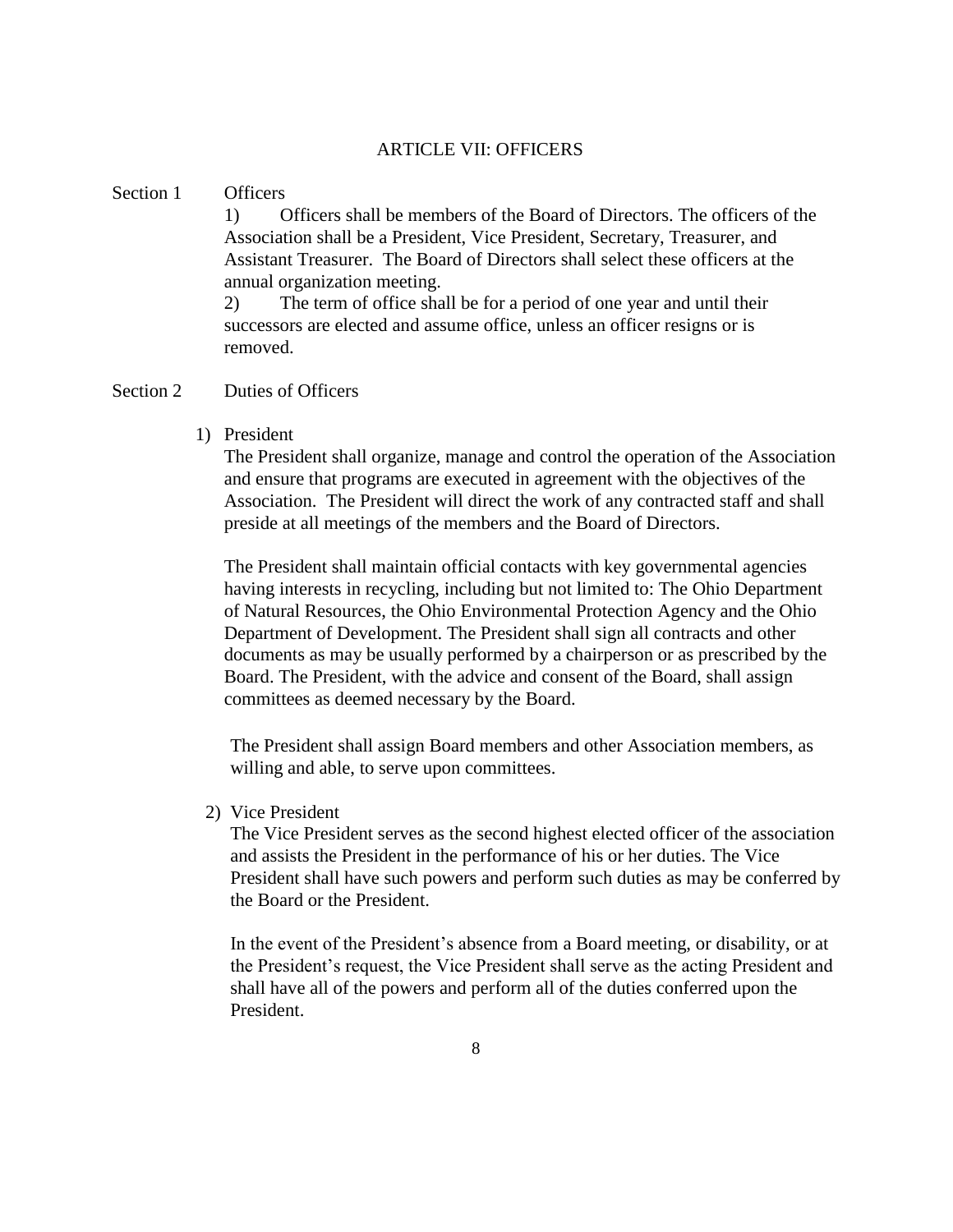#### ARTICLE VII: OFFICERS

#### Section 1 Officers

1) Officers shall be members of the Board of Directors. The officers of the Association shall be a President, Vice President, Secretary, Treasurer, and Assistant Treasurer. The Board of Directors shall select these officers at the annual organization meeting.

2) The term of office shall be for a period of one year and until their successors are elected and assume office, unless an officer resigns or is removed.

#### Section 2 Duties of Officers

1) President

The President shall organize, manage and control the operation of the Association and ensure that programs are executed in agreement with the objectives of the Association. The President will direct the work of any contracted staff and shall preside at all meetings of the members and the Board of Directors.

The President shall maintain official contacts with key governmental agencies having interests in recycling, including but not limited to: The Ohio Department of Natural Resources, the Ohio Environmental Protection Agency and the Ohio Department of Development. The President shall sign all contracts and other documents as may be usually performed by a chairperson or as prescribed by the Board. The President, with the advice and consent of the Board, shall assign committees as deemed necessary by the Board.

The President shall assign Board members and other Association members, as willing and able, to serve upon committees.

2) Vice President

The Vice President serves as the second highest elected officer of the association and assists the President in the performance of his or her duties. The Vice President shall have such powers and perform such duties as may be conferred by the Board or the President.

In the event of the President's absence from a Board meeting, or disability, or at the President's request, the Vice President shall serve as the acting President and shall have all of the powers and perform all of the duties conferred upon the President.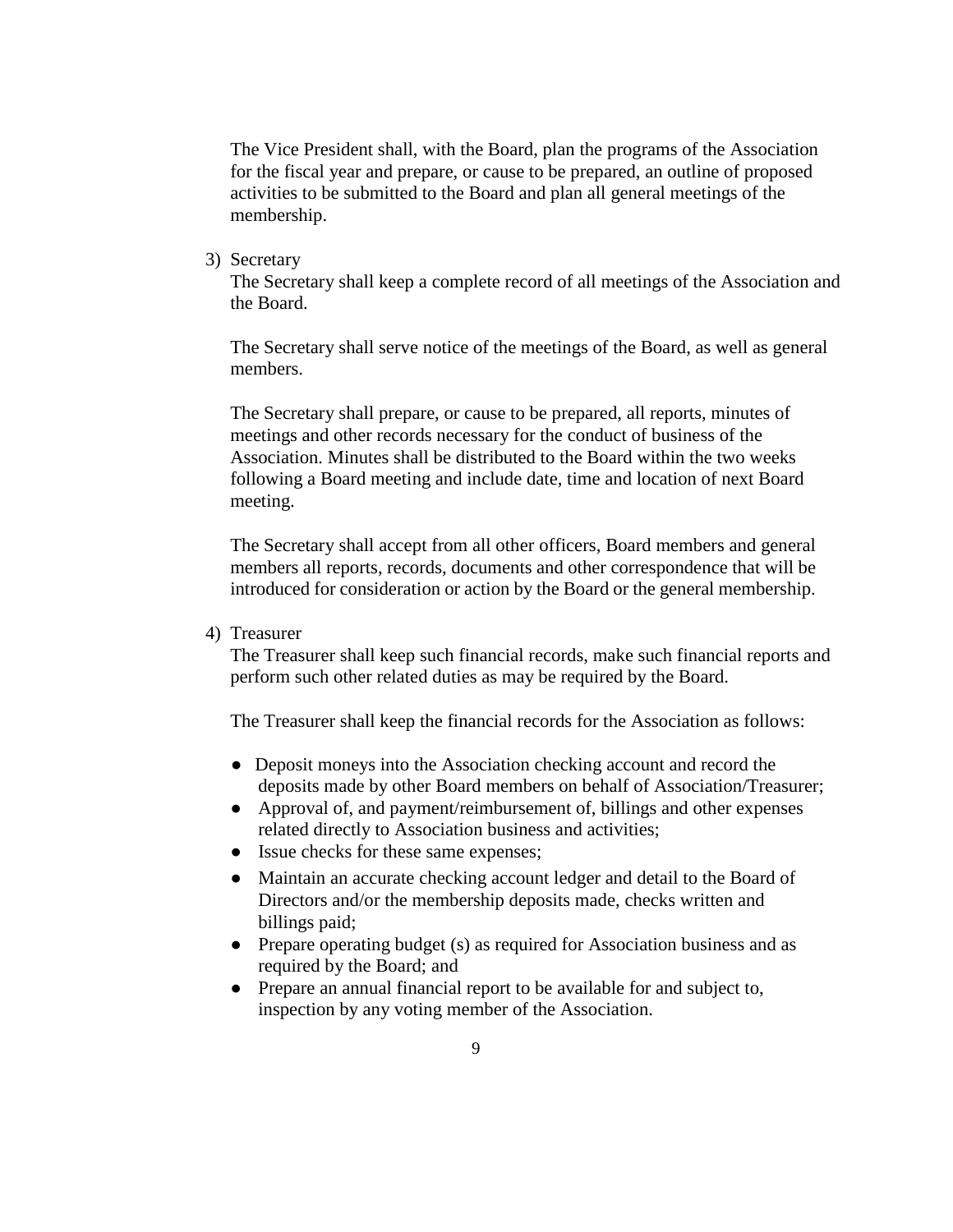The Vice President shall, with the Board, plan the programs of the Association for the fiscal year and prepare, or cause to be prepared, an outline of proposed activities to be submitted to the Board and plan all general meetings of the membership.

3) Secretary

The Secretary shall keep a complete record of all meetings of the Association and the Board.

The Secretary shall serve notice of the meetings of the Board, as well as general members.

The Secretary shall prepare, or cause to be prepared, all reports, minutes of meetings and other records necessary for the conduct of business of the Association. Minutes shall be distributed to the Board within the two weeks following a Board meeting and include date, time and location of next Board meeting.

The Secretary shall accept from all other officers, Board members and general members all reports, records, documents and other correspondence that will be introduced for consideration or action by the Board or the general membership.

4) Treasurer

The Treasurer shall keep such financial records, make such financial reports and perform such other related duties as may be required by the Board.

The Treasurer shall keep the financial records for the Association as follows:

- Deposit moneys into the Association checking account and record the deposits made by other Board members on behalf of Association/Treasurer;
- Approval of, and payment/reimbursement of, billings and other expenses related directly to Association business and activities;
- Issue checks for these same expenses;
- Maintain an accurate checking account ledger and detail to the Board of Directors and/or the membership deposits made, checks written and billings paid;
- Prepare operating budget (s) as required for Association business and as required by the Board; and
- Prepare an annual financial report to be available for and subject to, inspection by any voting member of the Association.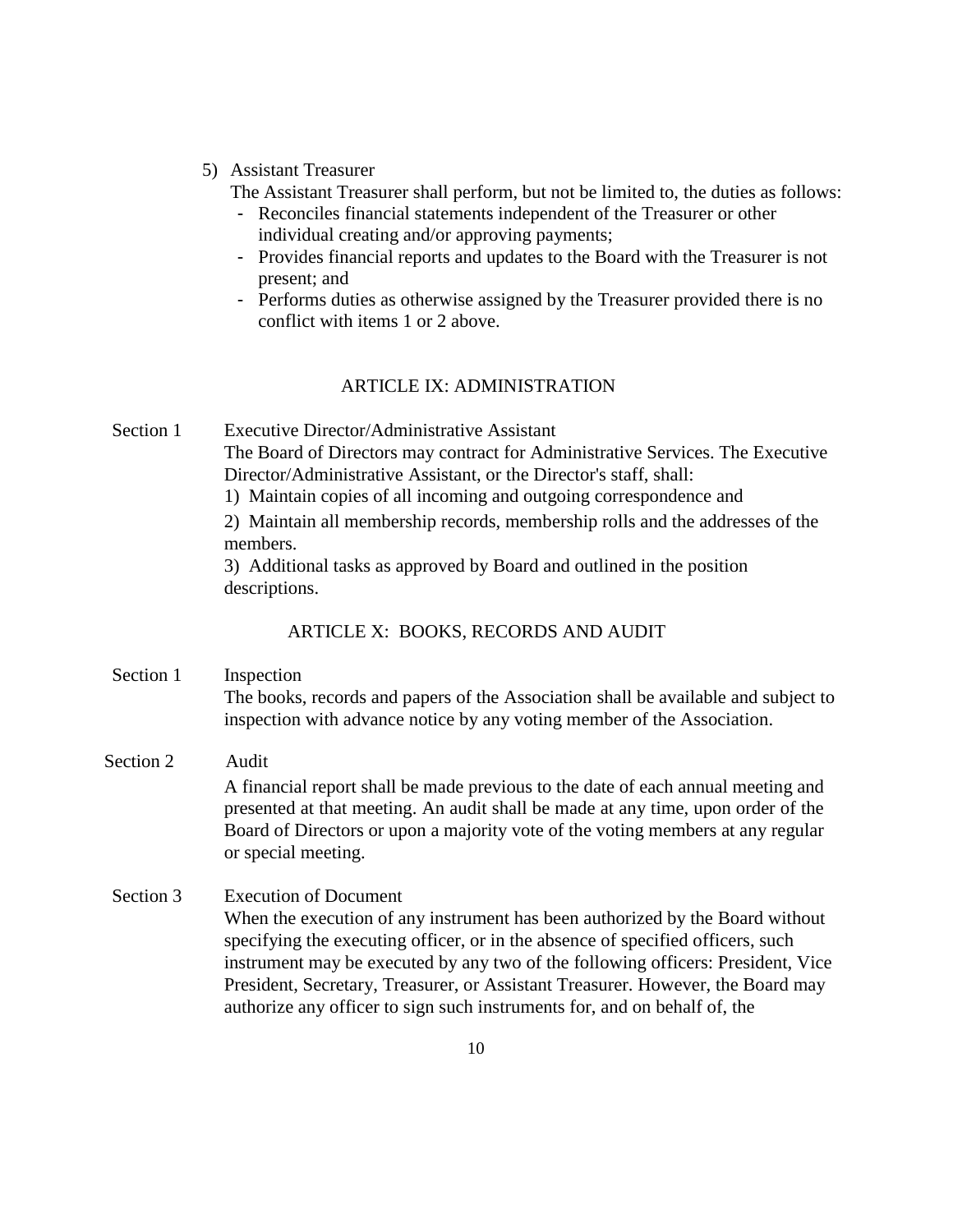### 5) Assistant Treasurer

The Assistant Treasurer shall perform, but not be limited to, the duties as follows:

- Reconciles financial statements independent of the Treasurer or other individual creating and/or approving payments;
- Provides financial reports and updates to the Board with the Treasurer is not present; and
- Performs duties as otherwise assigned by the Treasurer provided there is no conflict with items 1 or 2 above.

#### ARTICLE IX: ADMINISTRATION

Section 1 Executive Director/Administrative Assistant The Board of Directors may contract for Administrative Services. The Executive Director/Administrative Assistant, or the Director's staff, shall:

1) Maintain copies of all incoming and outgoing correspondence and

2) Maintain all membership records, membership rolls and the addresses of the members.

3) Additional tasks as approved by Board and outlined in the position descriptions.

## ARTICLE X: BOOKS, RECORDS AND AUDIT

- Section 1 Inspection The books, records and papers of the Association shall be available and subject to inspection with advance notice by any voting member of the Association.
- Section 2 Audit A financial report shall be made previous to the date of each annual meeting and presented at that meeting. An audit shall be made at any time, upon order of the Board of Directors or upon a majority vote of the voting members at any regular or special meeting.

### Section 3 Execution of Document

When the execution of any instrument has been authorized by the Board without specifying the executing officer, or in the absence of specified officers, such instrument may be executed by any two of the following officers: President, Vice President, Secretary, Treasurer, or Assistant Treasurer. However, the Board may authorize any officer to sign such instruments for, and on behalf of, the